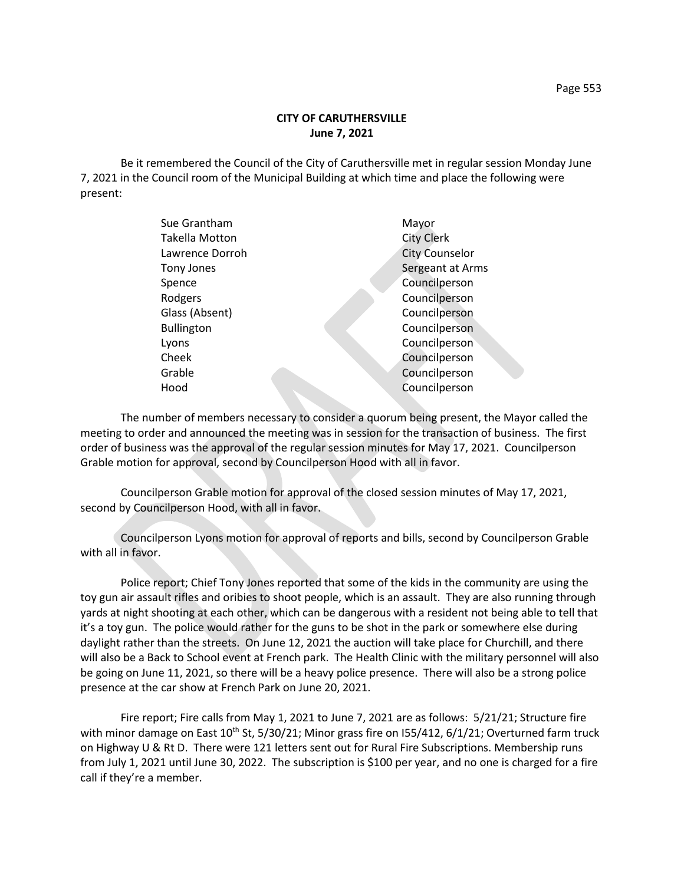## **CITY OF CARUTHERSVILLE June 7, 2021**

Be it remembered the Council of the City of Caruthersville met in regular session Monday June 7, 2021 in the Council room of the Municipal Building at which time and place the following were present:

| Sue Grantham          | Mayor                 |
|-----------------------|-----------------------|
| <b>Takella Motton</b> | <b>City Clerk</b>     |
| Lawrence Dorroh       | <b>City Counselor</b> |
| Tony Jones            | Sergeant at Arms      |
| Spence                | Councilperson         |
| Rodgers               | Councilperson         |
| Glass (Absent)        | Councilperson         |
| <b>Bullington</b>     | Councilperson         |
| Lyons                 | Councilperson         |
| Cheek                 | Councilperson         |
| Grable                | Councilperson         |
| Hood                  | Councilperson         |
|                       |                       |

The number of members necessary to consider a quorum being present, the Mayor called the meeting to order and announced the meeting was in session for the transaction of business. The first order of business was the approval of the regular session minutes for May 17, 2021. Councilperson Grable motion for approval, second by Councilperson Hood with all in favor.

Councilperson Grable motion for approval of the closed session minutes of May 17, 2021, second by Councilperson Hood, with all in favor.

Councilperson Lyons motion for approval of reports and bills, second by Councilperson Grable with all in favor.

Police report; Chief Tony Jones reported that some of the kids in the community are using the toy gun air assault rifles and oribies to shoot people, which is an assault. They are also running through yards at night shooting at each other, which can be dangerous with a resident not being able to tell that it's a toy gun. The police would rather for the guns to be shot in the park or somewhere else during daylight rather than the streets. On June 12, 2021 the auction will take place for Churchill, and there will also be a Back to School event at French park. The Health Clinic with the military personnel will also be going on June 11, 2021, so there will be a heavy police presence. There will also be a strong police presence at the car show at French Park on June 20, 2021.

Fire report; Fire calls from May 1, 2021 to June 7, 2021 are as follows: 5/21/21; Structure fire with minor damage on East  $10^{th}$  St, 5/30/21; Minor grass fire on 155/412, 6/1/21; Overturned farm truck on Highway U & Rt D. There were 121 letters sent out for Rural Fire Subscriptions. Membership runs from July 1, 2021 until June 30, 2022. The subscription is \$100 per year, and no one is charged for a fire call if they're a member.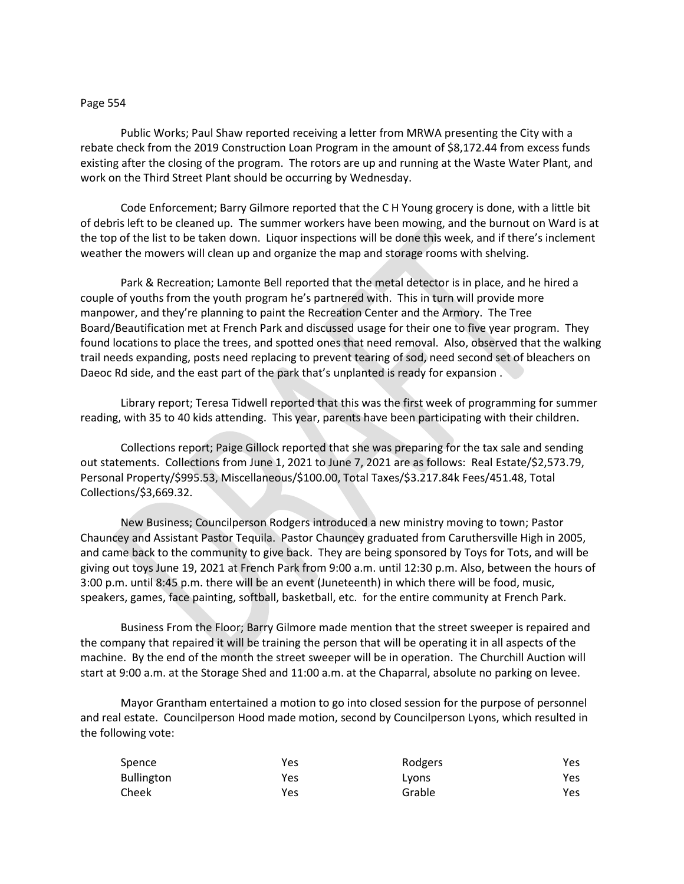## Page 554

Public Works; Paul Shaw reported receiving a letter from MRWA presenting the City with a rebate check from the 2019 Construction Loan Program in the amount of \$8,172.44 from excess funds existing after the closing of the program. The rotors are up and running at the Waste Water Plant, and work on the Third Street Plant should be occurring by Wednesday.

Code Enforcement; Barry Gilmore reported that the C H Young grocery is done, with a little bit of debris left to be cleaned up. The summer workers have been mowing, and the burnout on Ward is at the top of the list to be taken down. Liquor inspections will be done this week, and if there's inclement weather the mowers will clean up and organize the map and storage rooms with shelving.

Park & Recreation; Lamonte Bell reported that the metal detector is in place, and he hired a couple of youths from the youth program he's partnered with. This in turn will provide more manpower, and they're planning to paint the Recreation Center and the Armory. The Tree Board/Beautification met at French Park and discussed usage for their one to five year program. They found locations to place the trees, and spotted ones that need removal. Also, observed that the walking trail needs expanding, posts need replacing to prevent tearing of sod, need second set of bleachers on Daeoc Rd side, and the east part of the park that's unplanted is ready for expansion .

Library report; Teresa Tidwell reported that this was the first week of programming for summer reading, with 35 to 40 kids attending. This year, parents have been participating with their children.

Collections report; Paige Gillock reported that she was preparing for the tax sale and sending out statements. Collections from June 1, 2021 to June 7, 2021 are as follows: Real Estate/\$2,573.79, Personal Property/\$995.53, Miscellaneous/\$100.00, Total Taxes/\$3.217.84k Fees/451.48, Total Collections/\$3,669.32.

New Business; Councilperson Rodgers introduced a new ministry moving to town; Pastor Chauncey and Assistant Pastor Tequila. Pastor Chauncey graduated from Caruthersville High in 2005, and came back to the community to give back. They are being sponsored by Toys for Tots, and will be giving out toys June 19, 2021 at French Park from 9:00 a.m. until 12:30 p.m. Also, between the hours of 3:00 p.m. until 8:45 p.m. there will be an event (Juneteenth) in which there will be food, music, speakers, games, face painting, softball, basketball, etc. for the entire community at French Park.

Business From the Floor; Barry Gilmore made mention that the street sweeper is repaired and the company that repaired it will be training the person that will be operating it in all aspects of the machine. By the end of the month the street sweeper will be in operation. The Churchill Auction will start at 9:00 a.m. at the Storage Shed and 11:00 a.m. at the Chaparral, absolute no parking on levee.

Mayor Grantham entertained a motion to go into closed session for the purpose of personnel and real estate. Councilperson Hood made motion, second by Councilperson Lyons, which resulted in the following vote:

| Spence     | Yes | Rodgers | Yes  |
|------------|-----|---------|------|
| Bullington | Yes | Lyons   | Yes  |
| Cheek      | Yes | Grable  | Yes. |